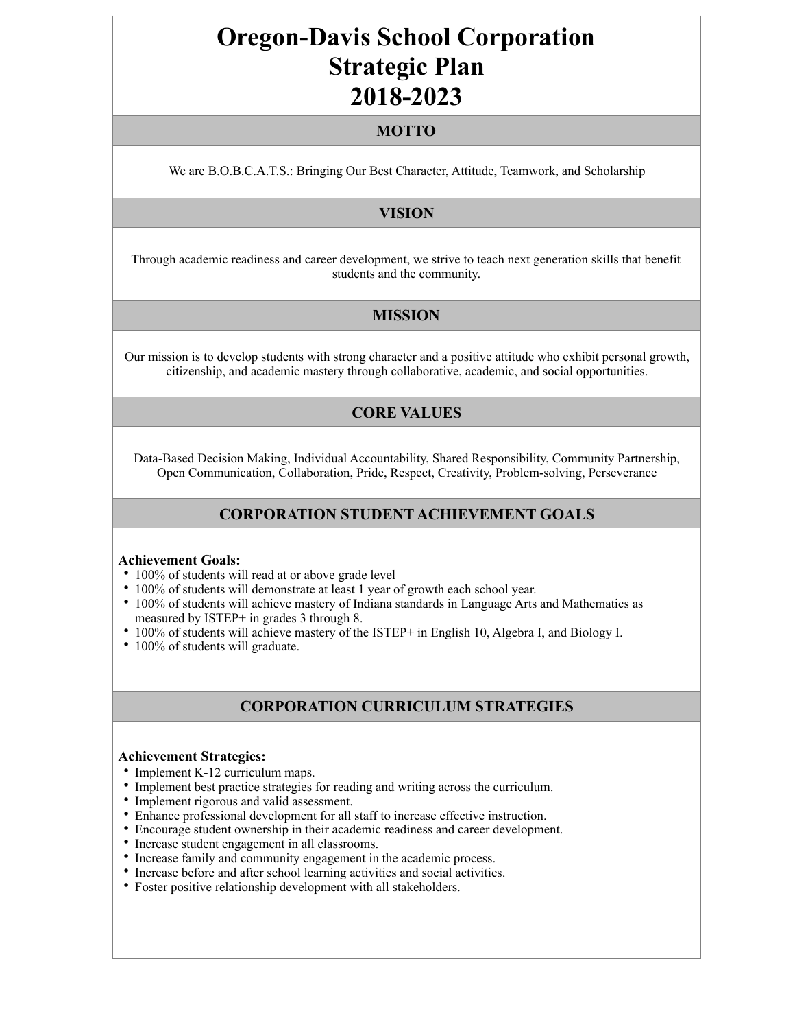# **Oregon-Davis School Corporation Strategic Plan 2018-2023**

# **MOTTO**

We are B.O.B.C.A.T.S.: Bringing Our Best Character, Attitude, Teamwork, and Scholarship

# **VISION**

Through academic readiness and career development, we strive to teach next generation skills that benefit students and the community.

# **MISSION**

Our mission is to develop students with strong character and a positive attitude who exhibit personal growth, citizenship, and academic mastery through collaborative, academic, and social opportunities.

# **CORE VALUES**

Data-Based Decision Making, Individual Accountability, Shared Responsibility, Community Partnership, Open Communication, Collaboration, Pride, Respect, Creativity, Problem-solving, Perseverance

## **CORPORATION STUDENT ACHIEVEMENT GOALS**

#### **Achievement Goals:**

- 100% of students will read at or above grade level
- 100% of students will demonstrate at least 1 year of growth each school year.
- 100% of students will achieve mastery of Indiana standards in Language Arts and Mathematics as measured by ISTEP+ in grades 3 through 8.
- 100% of students will achieve mastery of the ISTEP+ in English 10, Algebra I, and Biology I.
- 100% of students will graduate.

# **CORPORATION CURRICULUM STRATEGIES**

#### **Achievement Strategies:**

- Implement K-12 curriculum maps.
- Implement best practice strategies for reading and writing across the curriculum.
- Implement rigorous and valid assessment.
- Enhance professional development for all staff to increase effective instruction.
- Encourage student ownership in their academic readiness and career development.
- Increase student engagement in all classrooms.
- Increase family and community engagement in the academic process.
- Increase before and after school learning activities and social activities.
- Foster positive relationship development with all stakeholders.